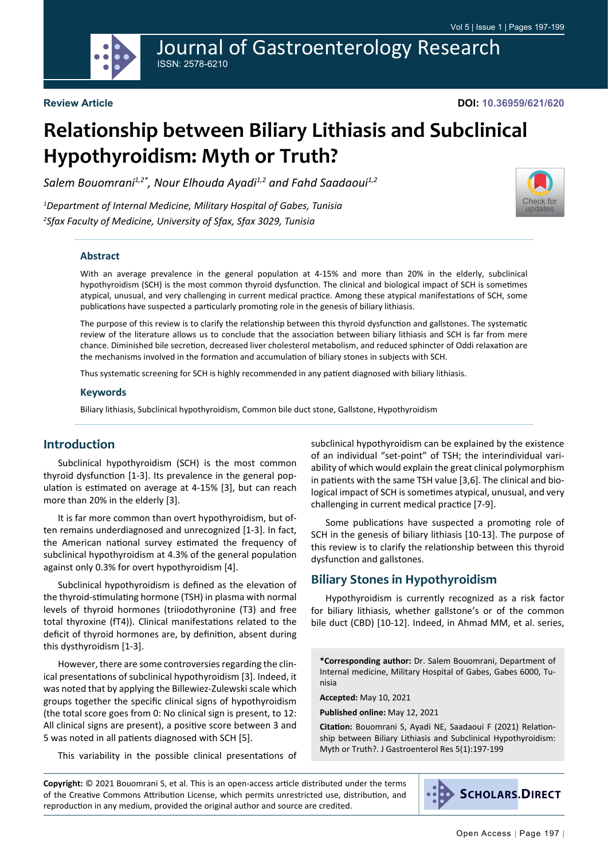Journal of Gastroenterology Research ISSN: 2578-6210

# **Relationship between Biliary Lithiasis and Subclinical Hypothyroidism: Myth or Truth?**

*Salem Bouomrani1,2\*, Nour Elhouda Ayadi1,2 and Fahd Saadaoui1,2*

*1 Department of Internal Medicine, Military Hospital of Gabes, Tunisia 2 Sfax Faculty of Medicine, University of Sfax, Sfax 3029, Tunisia*



#### **Abstract**

With an average prevalence in the general population at 4-15% and more than 20% in the elderly, subclinical hypothyroidism (SCH) is the most common thyroid dysfunction. The clinical and biological impact of SCH is sometimes atypical, unusual, and very challenging in current medical practice. Among these atypical manifestations of SCH, some publications have suspected a particularly promoting role in the genesis of biliary lithiasis.

The purpose of this review is to clarify the relationship between this thyroid dysfunction and gallstones. The systematic review of the literature allows us to conclude that the association between biliary lithiasis and SCH is far from mere chance. Diminished bile secretion, decreased liver cholesterol metabolism, and reduced sphincter of Oddi relaxation are the mechanisms involved in the formation and accumulation of biliary stones in subjects with SCH.

Thus systematic screening for SCH is highly recommended in any patient diagnosed with biliary lithiasis.

#### **Keywords**

Biliary lithiasis, Subclinical hypothyroidism, Common bile duct stone, Gallstone, Hypothyroidism

#### **Introduction**

Subclinical hypothyroidism (SCH) is the most common thyroid dysfunction [1-3]. Its prevalence in the general population is estimated on average at 4-15% [3], but can reach more than 20% in the elderly [3].

It is far more common than overt hypothyroidism, but often remains underdiagnosed and unrecognized [1-3]. In fact, the American national survey estimated the frequency of subclinical hypothyroidism at 4.3% of the general population against only 0.3% for overt hypothyroidism [4].

Subclinical hypothyroidism is defined as the elevation of the thyroid-stimulating hormone (TSH) in plasma with normal levels of thyroid hormones (triiodothyronine (T3) and free total thyroxine (fT4)). Clinical manifestations related to the deficit of thyroid hormones are, by definition, absent during this dysthyroidism [1-3].

However, there are some controversies regarding the clinical presentations of subclinical hypothyroidism [3]. Indeed, it was noted that by applying the Billewiez-Zulewski scale which groups together the specific clinical signs of hypothyroidism (the total score goes from 0: No clinical sign is present, to 12: All clinical signs are present), a positive score between 3 and 5 was noted in all patients diagnosed with SCH [5].

This variability in the possible clinical presentations of

subclinical hypothyroidism can be explained by the existence of an individual "set-point" of TSH; the interindividual variability of which would explain the great clinical polymorphism in patients with the same TSH value [3,6]. The clinical and biological impact of SCH is sometimes atypical, unusual, and very challenging in current medical practice [7-9].

Some publications have suspected a promoting role of SCH in the genesis of biliary lithiasis [10-13]. The purpose of this review is to clarify the relationship between this thyroid dysfunction and gallstones.

#### **Biliary Stones in Hypothyroidism**

Hypothyroidism is currently recognized as a risk factor for biliary lithiasis, whether gallstone's or of the common bile duct (CBD) [10-12]. Indeed, in Ahmad MM, et al. series,

**\*Corresponding author:** Dr. Salem Bouomrani, Department of Internal medicine, Military Hospital of Gabes, Gabes 6000, Tunisia

**Accepted:** May 10, 2021

**Published online:** May 12, 2021

**Citation:** Bouomrani S, Ayadi NE, Saadaoui F (2021) Relationship between Biliary Lithiasis and Subclinical Hypothyroidism: Myth or Truth?. J Gastroenterol Res 5(1):197-199

**Copyright:** © 2021 Bouomrani S, et al. This is an open-access article distributed under the terms of the Creative Commons Attribution License, which permits unrestricted use, distribution, and reproduction in any medium, provided the original author and source are credited.

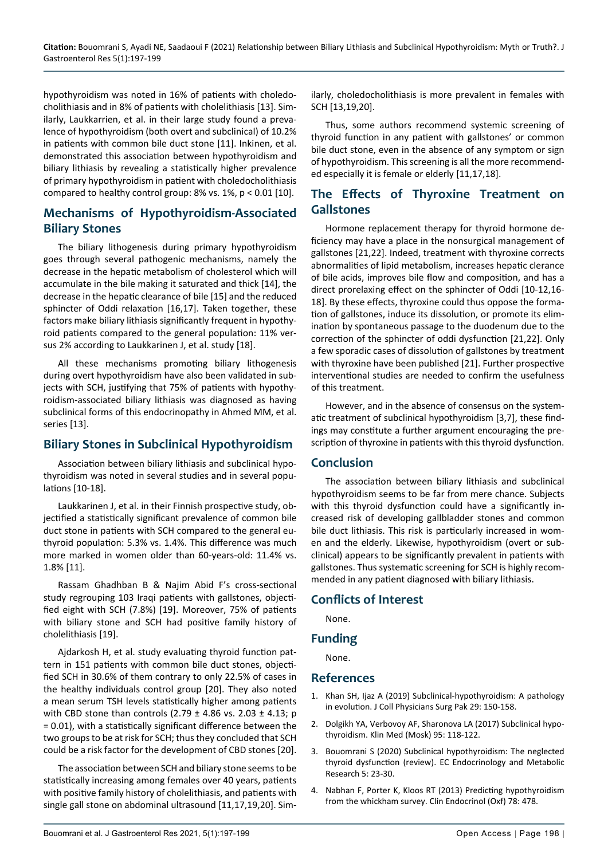hypothyroidism was noted in 16% of patients with choledocholithiasis and in 8% of patients with cholelithiasis [13]. Similarly, Laukkarrien, et al. in their large study found a prevalence of hypothyroidism (both overt and subclinical) of 10.2% in patients with common bile duct stone [11]. Inkinen, et al. demonstrated this association between hypothyroidism and biliary lithiasis by revealing a statistically higher prevalence of primary hypothyroidism in patient with choledocholithiasis compared to healthy control group: 8% vs. 1%, p < 0.01 [10].

## **Mechanisms of Hypothyroidism-Associated Biliary Stones**

The biliary lithogenesis during primary hypothyroidism goes through several pathogenic mechanisms, namely the decrease in the hepatic metabolism of cholesterol which will accumulate in the bile making it saturated and thick [14], the decrease in the hepatic clearance of bile [15] and the reduced sphincter of Oddi relaxation [16,17]. Taken together, these factors make biliary lithiasis significantly frequent in hypothyroid patients compared to the general population: 11% versus 2% according to Laukkarinen J, et al. study [18].

All these mechanisms promoting biliary lithogenesis during overt hypothyroidism have also been validated in subjects with SCH, justifying that 75% of patients with hypothyroidism-associated biliary lithiasis was diagnosed as having subclinical forms of this endocrinopathy in Ahmed MM, et al. series [13].

## **Biliary Stones in Subclinical Hypothyroidism**

Association between biliary lithiasis and subclinical hypothyroidism was noted in several studies and in several populations [10-18].

Laukkarinen J, et al. in their Finnish prospective study, objectified a statistically significant prevalence of common bile duct stone in patients with SCH compared to the general euthyroid population: 5.3% vs. 1.4%. This difference was much more marked in women older than 60-years-old: 11.4% vs. 1.8% [11].

Rassam Ghadhban B & Najim Abid F's cross-sectional study regrouping 103 Iraqi patients with gallstones, objectified eight with SCH (7.8%) [19]. Moreover, 75% of patients with biliary stone and SCH had positive family history of cholelithiasis [19].

Ajdarkosh H, et al. study evaluating thyroid function pattern in 151 patients with common bile duct stones, objectified SCH in 30.6% of them contrary to only 22.5% of cases in the healthy individuals control group [20]. They also noted a mean serum TSH levels statistically higher among patients with CBD stone than controls  $(2.79 \pm 4.86 \text{ vs. } 2.03 \pm 4.13; \text{ p})$ = 0.01), with a statistically significant difference between the two groups to be at risk for SCH; thus they concluded that SCH could be a risk factor for the development of CBD stones [20].

The association between SCH and biliary stone seems to be statistically increasing among females over 40 years, patients with positive family history of cholelithiasis, and patients with single gall stone on abdominal ultrasound [11,17,19,20]. Similarly, choledocholithiasis is more prevalent in females with SCH [13,19,20].

Thus, some authors recommend systemic screening of thyroid function in any patient with gallstones' or common bile duct stone, even in the absence of any symptom or sign of hypothyroidism. This screening is all the more recommended especially it is female or elderly [11,17,18].

## **The Effects of Thyroxine Treatment on Gallstones**

Hormone replacement therapy for thyroid hormone deficiency may have a place in the nonsurgical management of gallstones [21,22]. Indeed, treatment with thyroxine corrects abnormalities of lipid metabolism, increases hepatic clerance of bile acids, improves bile flow and composition, and has a direct prorelaxing effect on the sphincter of Oddi [10-12,16- 18]. By these effects, thyroxine could thus oppose the formation of gallstones, induce its dissolution, or promote its elimination by spontaneous passage to the duodenum due to the correction of the sphincter of oddi dysfunction [21,22]. Only a few sporadic cases of dissolution of gallstones by treatment with thyroxine have been published [21]. Further prospective interventional studies are needed to confirm the usefulness of this treatment.

However, and in the absence of consensus on the systematic treatment of subclinical hypothyroidism [3,7], these findings may constitute a further argument encouraging the prescription of thyroxine in patients with this thyroid dysfunction.

## **Conclusion**

The association between biliary lithiasis and subclinical hypothyroidism seems to be far from mere chance. Subjects with this thyroid dysfunction could have a significantly increased risk of developing gallbladder stones and common bile duct lithiasis. This risk is particularly increased in women and the elderly. Likewise, hypothyroidism (overt or subclinical) appears to be significantly prevalent in patients with gallstones. Thus systematic screening for SCH is highly recommended in any patient diagnosed with biliary lithiasis.

## **Conflicts of Interest**

None.

#### **Funding**

None.

#### **References**

- 1. [Khan SH, Ijaz A \(2019\) Subclinical-hypothyroidism: A pathology](https://pubmed.ncbi.nlm.nih.gov/30700355/)  [in evolution. J Coll Physicians Surg Pak 29: 150-158.](https://pubmed.ncbi.nlm.nih.gov/30700355/)
- 2. [Dolgikh YA, Verbovoy AF, Sharonova LA \(2017\) Subclinical hypo](https://pubmed.ncbi.nlm.nih.gov/30303662/)[thyroidism. Klin Med \(Mosk\) 95: 118-122.](https://pubmed.ncbi.nlm.nih.gov/30303662/)
- 3. [Bouomrani S \(2020\) Subclinical hypothyroidism: The neglected](https://www.ecronicon.com/ecemr/ECEMR-05-00176.php)  [thyroid dysfunction \(review\). EC Endocrinology and Metabolic](https://www.ecronicon.com/ecemr/ECEMR-05-00176.php)  [Research 5: 23-30.](https://www.ecronicon.com/ecemr/ECEMR-05-00176.php)
- 4. [Nabhan F, Porter K, Kloos RT \(2013\) Predicting hypothyroidism](https://pubmed.ncbi.nlm.nih.gov/22934541/)  [from the whickham survey. Clin Endocrinol \(Oxf\) 78: 478.](https://pubmed.ncbi.nlm.nih.gov/22934541/)